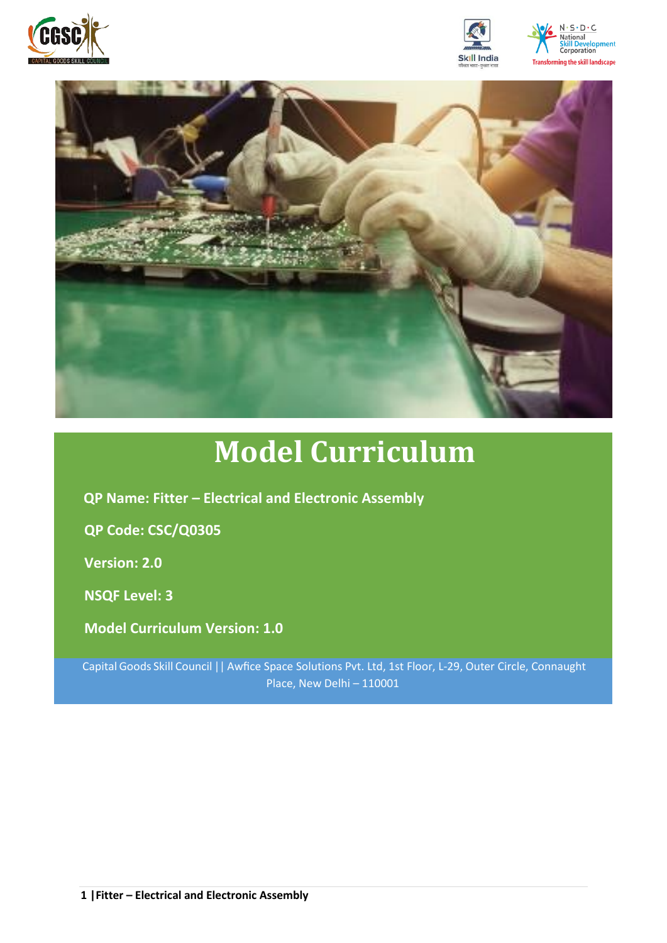







# **Model Curriculum**

**QP Name: Fitter – Electrical and Electronic Assembly** 

**QP Code: CSC/Q0305**

**Version: 2.0**

**NSQF Level: 3**

**Model Curriculum Version: 1.0**

Capital Goods Skill Council || Awfice Space Solutions Pvt. Ltd, 1st Floor, L-29, Outer Circle, Connaught Place, New Delhi – 110001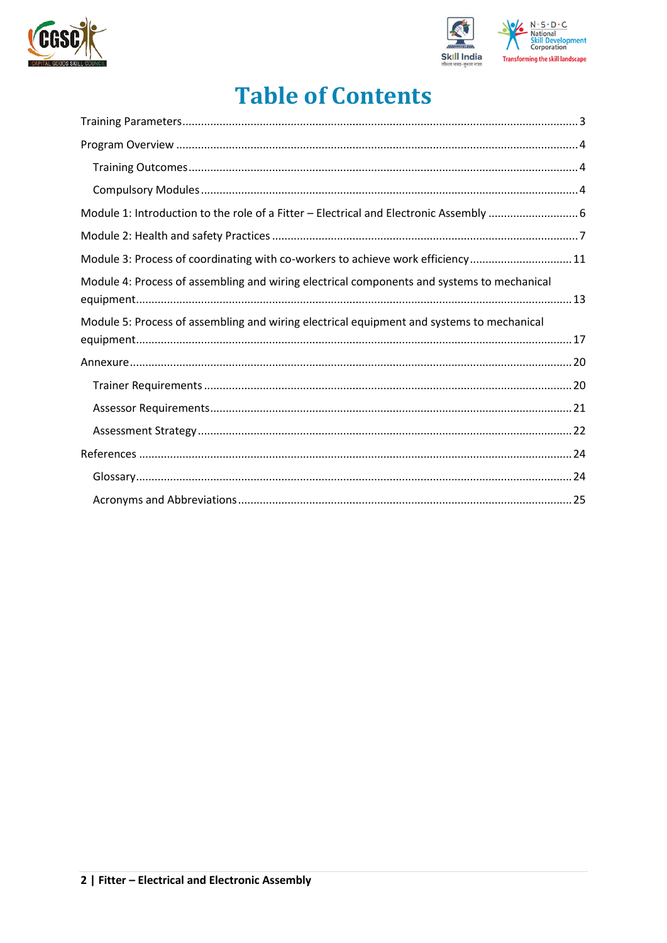



## **Table of Contents**

| Module 3: Process of coordinating with co-workers to achieve work efficiency11             |
|--------------------------------------------------------------------------------------------|
| Module 4: Process of assembling and wiring electrical components and systems to mechanical |
| Module 5: Process of assembling and wiring electrical equipment and systems to mechanical  |
|                                                                                            |
|                                                                                            |
|                                                                                            |
|                                                                                            |
|                                                                                            |
|                                                                                            |
|                                                                                            |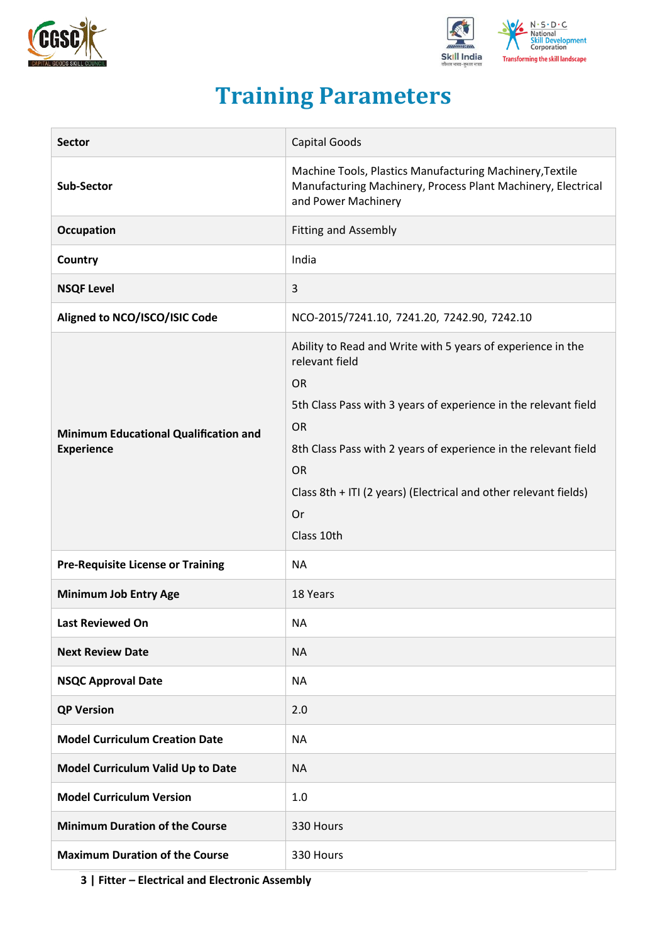



## **Training Parameters**

<span id="page-2-0"></span>

| <b>Sector</b>                                                     | <b>Capital Goods</b>                                                                                                                                                                                                                                                                                                                                      |
|-------------------------------------------------------------------|-----------------------------------------------------------------------------------------------------------------------------------------------------------------------------------------------------------------------------------------------------------------------------------------------------------------------------------------------------------|
| <b>Sub-Sector</b>                                                 | Machine Tools, Plastics Manufacturing Machinery, Textile<br>Manufacturing Machinery, Process Plant Machinery, Electrical<br>and Power Machinery                                                                                                                                                                                                           |
| <b>Occupation</b>                                                 | <b>Fitting and Assembly</b>                                                                                                                                                                                                                                                                                                                               |
| Country                                                           | India                                                                                                                                                                                                                                                                                                                                                     |
| <b>NSQF Level</b>                                                 | 3                                                                                                                                                                                                                                                                                                                                                         |
| Aligned to NCO/ISCO/ISIC Code                                     | NCO-2015/7241.10, 7241.20, 7242.90, 7242.10                                                                                                                                                                                                                                                                                                               |
| <b>Minimum Educational Qualification and</b><br><b>Experience</b> | Ability to Read and Write with 5 years of experience in the<br>relevant field<br><b>OR</b><br>5th Class Pass with 3 years of experience in the relevant field<br><b>OR</b><br>8th Class Pass with 2 years of experience in the relevant field<br><b>OR</b><br>Class 8th + ITI (2 years) (Electrical and other relevant fields)<br><b>Or</b><br>Class 10th |
| <b>Pre-Requisite License or Training</b>                          | <b>NA</b>                                                                                                                                                                                                                                                                                                                                                 |
| <b>Minimum Job Entry Age</b>                                      | 18 Years                                                                                                                                                                                                                                                                                                                                                  |
| <b>Last Reviewed On</b>                                           | <b>NA</b>                                                                                                                                                                                                                                                                                                                                                 |
| <b>Next Review Date</b>                                           | <b>NA</b>                                                                                                                                                                                                                                                                                                                                                 |
| <b>NSQC Approval Date</b>                                         | ΝA                                                                                                                                                                                                                                                                                                                                                        |
| <b>QP Version</b>                                                 | 2.0                                                                                                                                                                                                                                                                                                                                                       |
| <b>Model Curriculum Creation Date</b>                             | <b>NA</b>                                                                                                                                                                                                                                                                                                                                                 |
| Model Curriculum Valid Up to Date                                 | <b>NA</b>                                                                                                                                                                                                                                                                                                                                                 |
| <b>Model Curriculum Version</b>                                   | 1.0                                                                                                                                                                                                                                                                                                                                                       |
| <b>Minimum Duration of the Course</b>                             | 330 Hours                                                                                                                                                                                                                                                                                                                                                 |
| <b>Maximum Duration of the Course</b>                             | 330 Hours                                                                                                                                                                                                                                                                                                                                                 |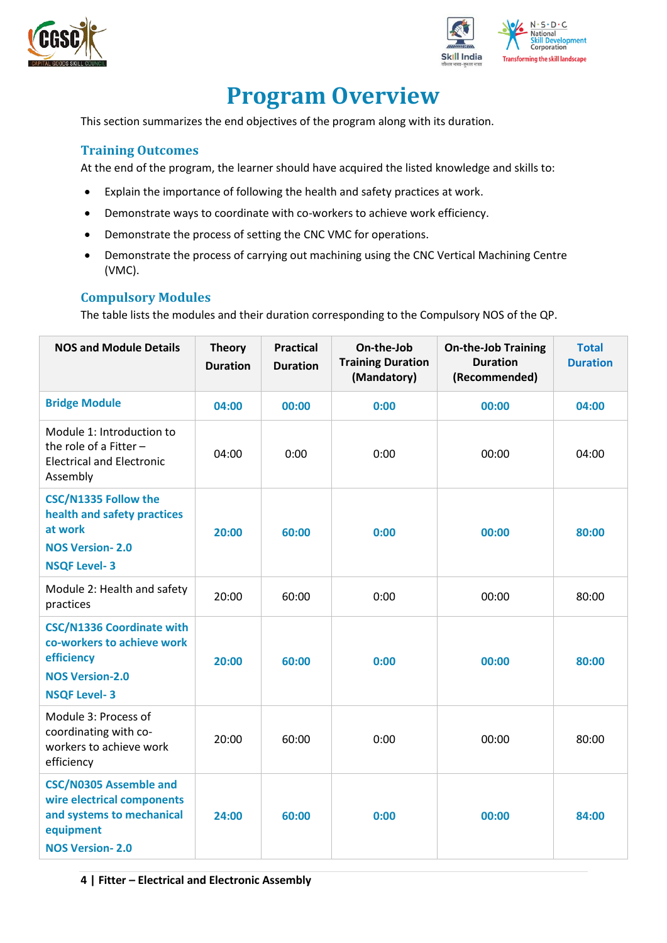



## **Program Overview**

<span id="page-3-0"></span>This section summarizes the end objectives of the program along with its duration.

#### <span id="page-3-1"></span>**Training Outcomes**

At the end of the program, the learner should have acquired the listed knowledge and skills to:

- Explain the importance of following the health and safety practices at work.
- Demonstrate ways to coordinate with co-workers to achieve work efficiency.
- Demonstrate the process of setting the CNC VMC for operations.
- Demonstrate the process of carrying out machining using the CNC Vertical Machining Centre (VMC).

#### <span id="page-3-2"></span>**Compulsory Modules**

The table lists the modules and their duration corresponding to the Compulsory NOS of the QP.

| <b>NOS and Module Details</b>                                                                                                   | <b>Theory</b><br><b>Duration</b> | <b>Practical</b><br><b>Duration</b> | On-the-Job<br><b>Training Duration</b><br>(Mandatory) | <b>On-the-Job Training</b><br><b>Duration</b><br>(Recommended) | <b>Total</b><br><b>Duration</b> |
|---------------------------------------------------------------------------------------------------------------------------------|----------------------------------|-------------------------------------|-------------------------------------------------------|----------------------------------------------------------------|---------------------------------|
| <b>Bridge Module</b>                                                                                                            | 04:00                            | 00:00                               | 0:00                                                  | 00:00                                                          | 04:00                           |
| Module 1: Introduction to<br>the role of a Fitter $-$<br><b>Electrical and Electronic</b><br>Assembly                           | 04:00                            | 0:00                                | 0:00                                                  | 00:00                                                          | 04:00                           |
| <b>CSC/N1335 Follow the</b><br>health and safety practices<br>at work<br><b>NOS Version-2.0</b><br><b>NSQF Level-3</b>          | 20:00                            | 60:00                               | 0:00                                                  | 00:00                                                          | 80:00                           |
| Module 2: Health and safety<br>practices                                                                                        | 20:00                            | 60:00                               | 0:00                                                  | 00:00                                                          | 80:00                           |
| <b>CSC/N1336 Coordinate with</b><br>co-workers to achieve work<br>efficiency<br><b>NOS Version-2.0</b><br><b>NSQF Level-3</b>   | 20:00                            | 60:00                               | 0:00                                                  | 00:00                                                          | 80:00                           |
| Module 3: Process of<br>coordinating with co-<br>workers to achieve work<br>efficiency                                          | 20:00                            | 60:00                               | 0:00                                                  | 00:00                                                          | 80:00                           |
| <b>CSC/N0305 Assemble and</b><br>wire electrical components<br>and systems to mechanical<br>equipment<br><b>NOS Version-2.0</b> | 24:00                            | 60:00                               | 0:00                                                  | 00:00                                                          | 84:00                           |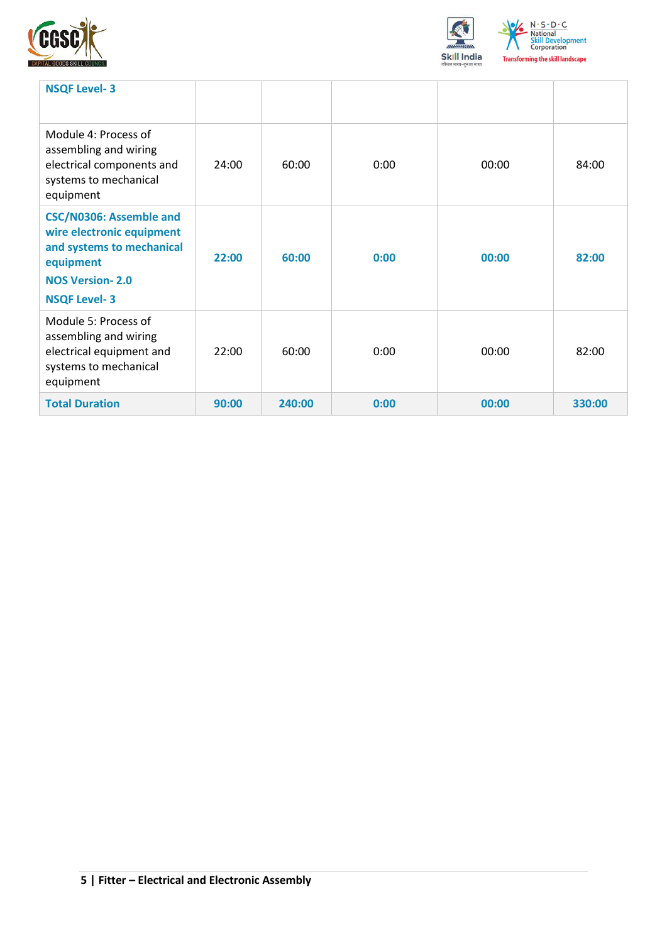



| <b>NSQF Level-3</b>                                                                                                                                    |       |        |      |       |        |
|--------------------------------------------------------------------------------------------------------------------------------------------------------|-------|--------|------|-------|--------|
| Module 4: Process of<br>assembling and wiring<br>electrical components and<br>systems to mechanical<br>equipment                                       | 24:00 | 60:00  | 0:00 | 00:00 | 84:00  |
| <b>CSC/N0306: Assemble and</b><br>wire electronic equipment<br>and systems to mechanical<br>equipment<br><b>NOS Version-2.0</b><br><b>NSQF Level-3</b> | 22:00 | 60:00  | 0:00 | 00:00 | 82:00  |
| Module 5: Process of<br>assembling and wiring<br>electrical equipment and<br>systems to mechanical<br>equipment                                        | 22:00 | 60:00  | 0:00 | 00:00 | 82:00  |
| <b>Total Duration</b>                                                                                                                                  | 90:00 | 240:00 | 0:00 | 00:00 | 330:00 |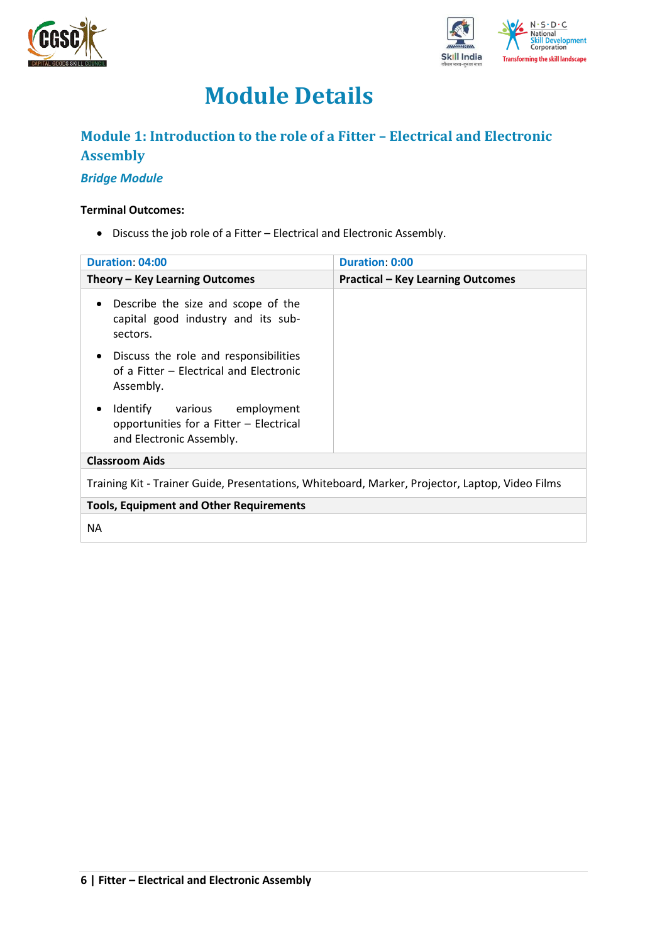



## **Module Details**

### <span id="page-5-0"></span>**Module 1: Introduction to the role of a Fitter – Electrical and Electronic Assembly**

#### *Bridge Module*

#### **Terminal Outcomes:**

• Discuss the job role of a Fitter – Electrical and Electronic Assembly.

| <b>Duration: 04:00</b>                                                                                          | <b>Duration: 0:00</b>                    |  |  |  |
|-----------------------------------------------------------------------------------------------------------------|------------------------------------------|--|--|--|
| Theory - Key Learning Outcomes                                                                                  | <b>Practical - Key Learning Outcomes</b> |  |  |  |
| Describe the size and scope of the<br>$\bullet$<br>capital good industry and its sub-<br>sectors.               |                                          |  |  |  |
| Discuss the role and responsibilities<br>$\bullet$<br>of a Fitter - Electrical and Electronic<br>Assembly.      |                                          |  |  |  |
| Identify various employment<br>$\bullet$<br>opportunities for a Fitter - Electrical<br>and Electronic Assembly. |                                          |  |  |  |
| <b>Classroom Aids</b>                                                                                           |                                          |  |  |  |
| Training Kit - Trainer Guide, Presentations, Whiteboard, Marker, Projector, Laptop, Video Films                 |                                          |  |  |  |
| <b>Tools, Equipment and Other Requirements</b>                                                                  |                                          |  |  |  |
| NА                                                                                                              |                                          |  |  |  |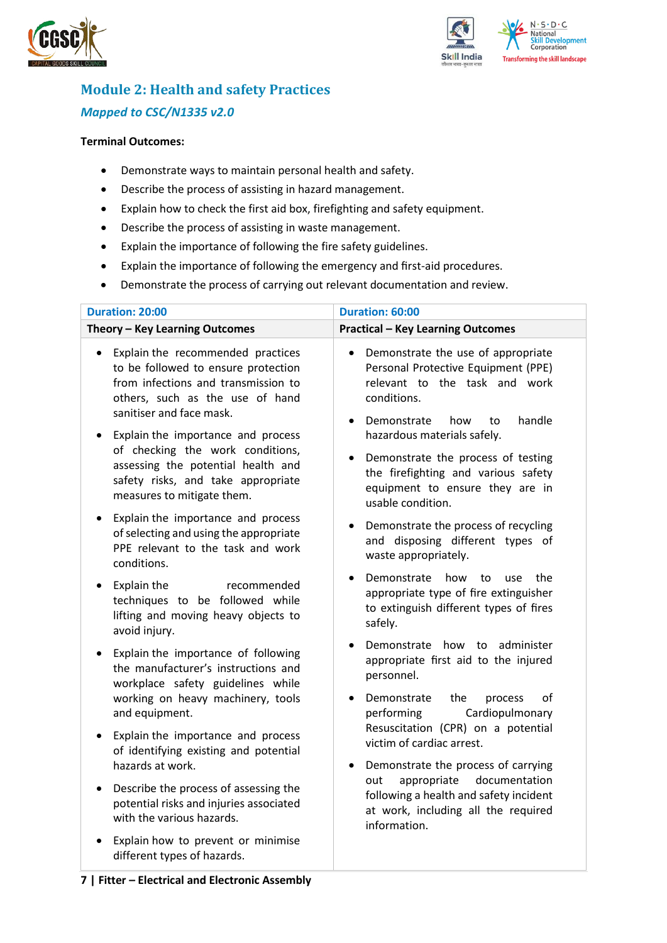



## <span id="page-6-0"></span>**Module 2: Health and safety Practices** *Mapped to CSC/N1335 v2.0*

#### **Terminal Outcomes:**

- Demonstrate ways to maintain personal health and safety.
- Describe the process of assisting in hazard management.
- Explain how to check the first aid box, firefighting and safety equipment.
- Describe the process of assisting in waste management.
- Explain the importance of following the fire safety guidelines.
- Explain the importance of following the emergency and first-aid procedures.
- Demonstrate the process of carrying out relevant documentation and review.

| Duration: 20:00                                                                                                                                                                             | Duration: 60:00                                                                                                                                                                           |  |  |  |
|---------------------------------------------------------------------------------------------------------------------------------------------------------------------------------------------|-------------------------------------------------------------------------------------------------------------------------------------------------------------------------------------------|--|--|--|
| Theory - Key Learning Outcomes                                                                                                                                                              | <b>Practical - Key Learning Outcomes</b>                                                                                                                                                  |  |  |  |
| Explain the recommended practices<br>$\bullet$<br>to be followed to ensure protection<br>from infections and transmission to<br>others, such as the use of hand<br>sanitiser and face mask. | Demonstrate the use of appropriate<br>$\bullet$<br>Personal Protective Equipment (PPE)<br>relevant to the task and work<br>conditions.<br>handle<br>Demonstrate<br>how<br>to<br>$\bullet$ |  |  |  |
| Explain the importance and process<br>of checking the work conditions,<br>assessing the potential health and<br>safety risks, and take appropriate<br>measures to mitigate them.            | hazardous materials safely.<br>Demonstrate the process of testing<br>the firefighting and various safety<br>equipment to ensure they are in<br>usable condition.                          |  |  |  |
| Explain the importance and process<br>$\bullet$<br>of selecting and using the appropriate<br>PPE relevant to the task and work<br>conditions.                                               | Demonstrate the process of recycling<br>and disposing different types of<br>waste appropriately.                                                                                          |  |  |  |
| Explain the<br>recommended<br>$\bullet$<br>techniques to be followed while<br>lifting and moving heavy objects to<br>avoid injury.                                                          | Demonstrate<br>how<br>the<br>to<br>use<br>appropriate type of fire extinguisher<br>to extinguish different types of fires<br>safely.                                                      |  |  |  |
| Explain the importance of following<br>$\bullet$<br>the manufacturer's instructions and<br>workplace safety guidelines while<br>working on heavy machinery, tools                           | Demonstrate how to administer<br>appropriate first aid to the injured<br>personnel.<br>Demonstrate<br>the<br>οf<br>process                                                                |  |  |  |
| and equipment.<br>Explain the importance and process<br>$\bullet$<br>of identifying existing and potential<br>hazards at work.                                                              | Cardiopulmonary<br>performing<br>Resuscitation (CPR) on a potential<br>victim of cardiac arrest.                                                                                          |  |  |  |
| Describe the process of assessing the<br>$\bullet$<br>potential risks and injuries associated<br>with the various hazards.                                                                  | Demonstrate the process of carrying<br>$\bullet$<br>appropriate<br>documentation<br>out<br>following a health and safety incident<br>at work, including all the required<br>information.  |  |  |  |
| Explain how to prevent or minimise<br>different types of hazards.                                                                                                                           |                                                                                                                                                                                           |  |  |  |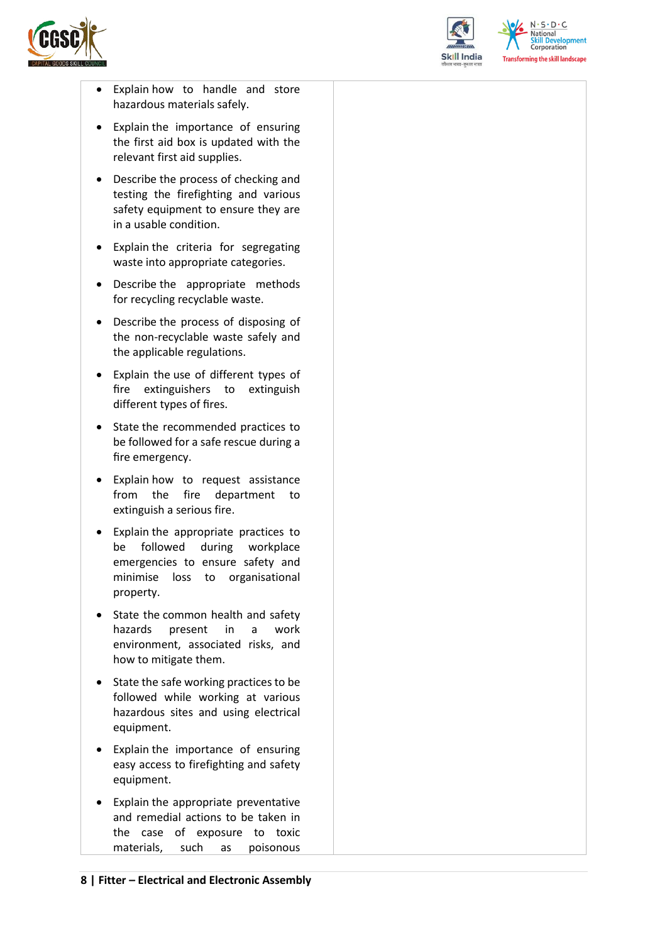



 $N.5.0.6$ National **Skill Development**<br>Corporation **Transforming the skill landscape** 

- Explain how to handle and store hazardous materials safely.
- Explain the importance of ensuring the first aid box is updated with the relevant first aid supplies.
- Describe the process of checking and testing the firefighting and various safety equipment to ensure they are in a usable condition.
- Explain the criteria for segregating waste into appropriate categories.
- Describe the appropriate methods for recycling recyclable waste.
- Describe the process of disposing of the non-recyclable waste safely and the applicable regulations.
- Explain the use of different types of fire extinguishers to extinguish different types of fires.
- State the recommended practices to be followed for a safe rescue during a fire emergency.
- Explain how to request assistance from the fire department to extinguish a serious fire.
- Explain the appropriate practices to be followed during workplace emergencies to ensure safety and minimise loss to organisational property.
- State the common health and safety hazards present in a work environment, associated risks, and how to mitigate them.
- State the safe working practices to be followed while working at various hazardous sites and using electrical equipment.
- Explain the importance of ensuring easy access to firefighting and safety equipment.
- Explain the appropriate preventative and remedial actions to be taken in the case of exposure to toxic materials, such as poisonous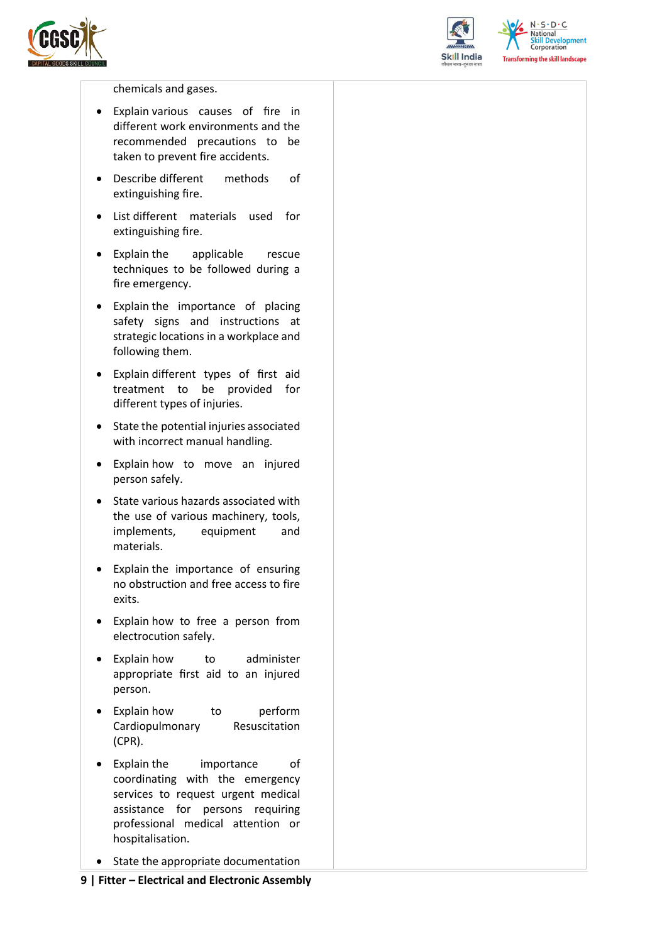



 $N \cdot S \cdot D \cdot C$ National **Skill Development**<br>Corporation **Transforming the skill landscape** 

chemicals and gases.

- Explain various causes of fire in different work environments and the recommended precautions to be taken to prevent fire accidents.
- Describe different methods of extinguishing fire.
- List different materials used for extinguishing fire.
- Explain the applicable rescue techniques to be followed during a fire emergency.
- Explain the importance of placing safety signs and instructions at strategic locations in a workplace and following them.
- Explain different types of first aid treatment to be provided for different types of injuries.
- State the potential injuries associated with incorrect manual handling.
- Explain how to move an injured person safely.
- State various hazards associated with the use of various machinery, tools, implements, equipment and materials.
- Explain the importance of ensuring no obstruction and free access to fire exits.
- Explain how to free a person from electrocution safely.
- Explain how to administer appropriate first aid to an injured person.
- Explain how to perform Cardiopulmonary Resuscitation (CPR).
- Explain the importance of coordinating with the emergency services to request urgent medical assistance for persons requiring professional medical attention or hospitalisation.
- State the appropriate documentation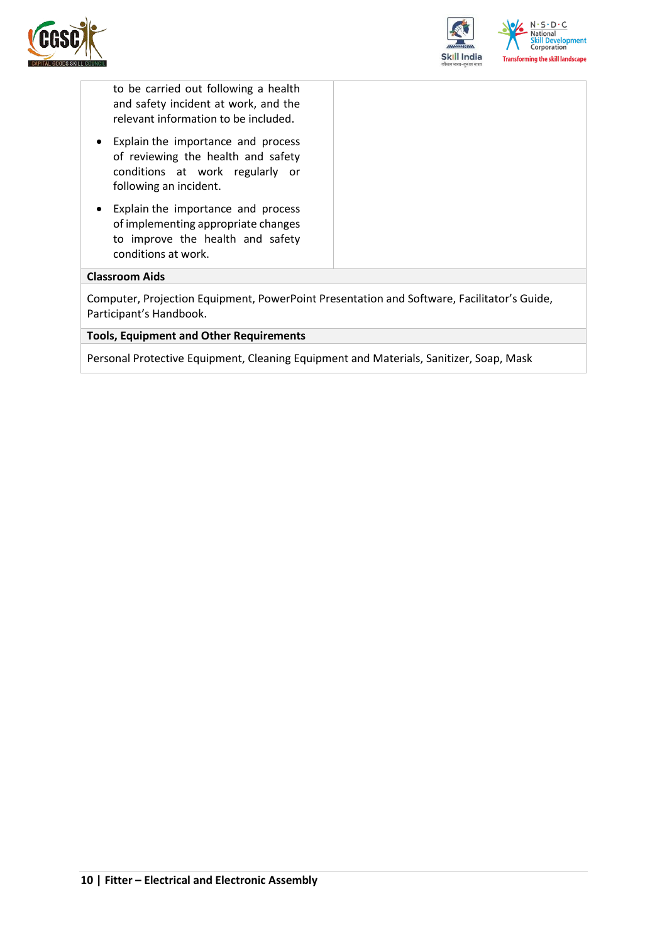



to be carried out following a health and safety incident at work, and the relevant information to be included.

- Explain the importance and process of reviewing the health and safety conditions at work regularly or following an incident.
- Explain the importance and process of implementing appropriate changes to improve the health and safety conditions at work.

#### **Classroom Aids**

Computer, Projection Equipment, PowerPoint Presentation and Software, Facilitator's Guide, Participant's Handbook.

#### **Tools, Equipment and Other Requirements**

Personal Protective Equipment, Cleaning Equipment and Materials, Sanitizer, Soap, Mask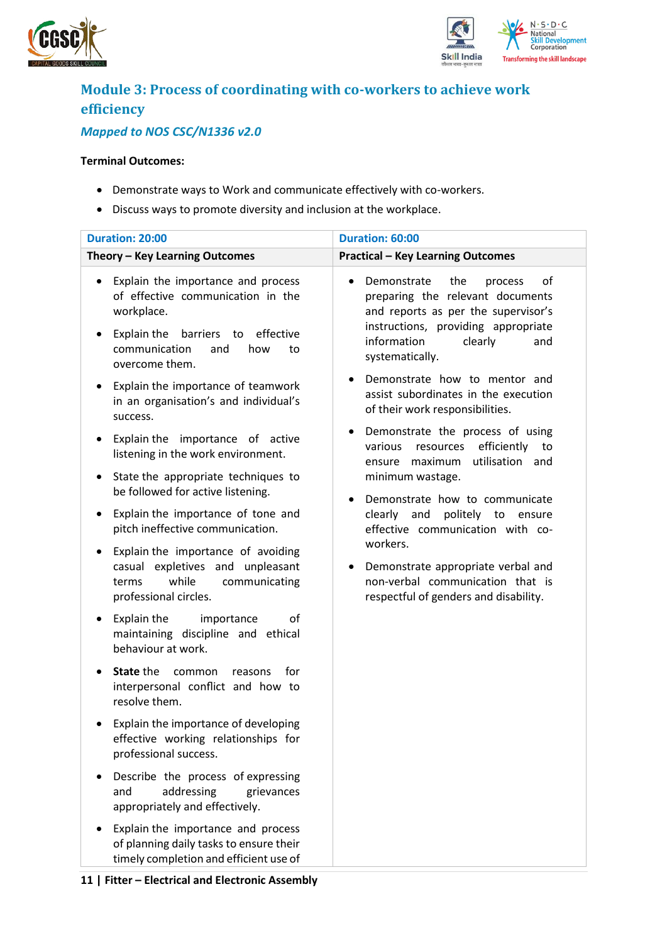



## <span id="page-10-0"></span>**Module 3: Process of coordinating with co-workers to achieve work efficiency**

### *Mapped to NOS CSC/N1336 v2.0*

#### **Terminal Outcomes:**

- Demonstrate ways to Work and communicate effectively with co-workers.
- Discuss ways to promote diversity and inclusion at the workplace.

| Duration: 20:00                                                                                                                                                                                                                                                                                      | Duration: 60:00                                                                                                                                                                                                                                                                                                       |  |  |  |
|------------------------------------------------------------------------------------------------------------------------------------------------------------------------------------------------------------------------------------------------------------------------------------------------------|-----------------------------------------------------------------------------------------------------------------------------------------------------------------------------------------------------------------------------------------------------------------------------------------------------------------------|--|--|--|
| Theory - Key Learning Outcomes                                                                                                                                                                                                                                                                       | <b>Practical - Key Learning Outcomes</b>                                                                                                                                                                                                                                                                              |  |  |  |
| Explain the importance and process<br>of effective communication in the<br>workplace.<br>Explain the<br>barriers to<br>effective<br>٠<br>communication<br>and<br>how<br>to<br>overcome them.<br>Explain the importance of teamwork<br>$\bullet$<br>in an organisation's and individual's<br>success. | Demonstrate<br>the<br>of<br>process<br>preparing the relevant documents<br>and reports as per the supervisor's<br>instructions, providing appropriate<br>information<br>clearly<br>and<br>systematically.<br>Demonstrate how to mentor and<br>assist subordinates in the execution<br>of their work responsibilities. |  |  |  |
| Explain the importance of active<br>$\bullet$<br>listening in the work environment.<br>State the appropriate techniques to<br>٠<br>be followed for active listening.<br>Explain the importance of tone and<br>٠<br>pitch ineffective communication.                                                  | Demonstrate the process of using<br>efficiently<br>various<br>resources<br>to<br>utilisation and<br>ensure maximum<br>minimum wastage.<br>Demonstrate how to communicate<br>clearly and<br>politely to ensure<br>effective communication with co-                                                                     |  |  |  |
| Explain the importance of avoiding<br>٠<br>casual expletives and unpleasant<br>while<br>communicating<br>terms<br>professional circles.                                                                                                                                                              | workers.<br>Demonstrate appropriate verbal and<br>non-verbal communication that is<br>respectful of genders and disability.                                                                                                                                                                                           |  |  |  |
| Explain the<br>importance<br>οf<br>٠<br>maintaining discipline and ethical<br>behaviour at work.                                                                                                                                                                                                     |                                                                                                                                                                                                                                                                                                                       |  |  |  |
| <b>State the</b><br>common<br>for<br>reasons<br>interpersonal conflict and how to<br>resolve them.                                                                                                                                                                                                   |                                                                                                                                                                                                                                                                                                                       |  |  |  |
| Explain the importance of developing<br>effective working relationships for<br>professional success.                                                                                                                                                                                                 |                                                                                                                                                                                                                                                                                                                       |  |  |  |
| Describe the process of expressing<br>addressing<br>and<br>grievances<br>appropriately and effectively.                                                                                                                                                                                              |                                                                                                                                                                                                                                                                                                                       |  |  |  |
| Explain the importance and process<br>of planning daily tasks to ensure their<br>timely completion and efficient use of                                                                                                                                                                              |                                                                                                                                                                                                                                                                                                                       |  |  |  |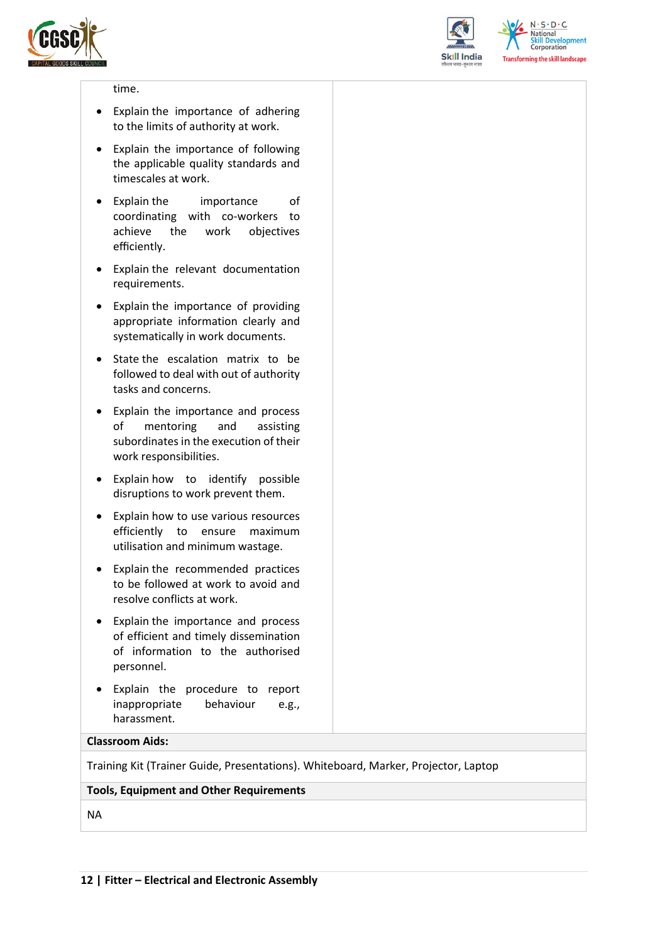



 $N.5.0.6$ **National Skill Development**<br>Corporation **Transforming the skill landscape** 

#### time.

- Explain the importance of adhering to the limits of authority at work.
- Explain the importance of following the applicable quality standards and timescales at work.
- Explain the importance of coordinating with co-workers to achieve the work objectives efficiently.
- Explain the relevant documentation requirements.
- Explain the importance of providing appropriate information clearly and systematically in work documents.
- State the escalation matrix to be followed to deal with out of authority tasks and concerns.
- Explain the importance and process of mentoring and assisting subordinates in the execution of their work responsibilities.
- Explain how to identify possible disruptions to work prevent them.
- Explain how to use various resources efficiently to ensure maximum utilisation and minimum wastage.
- Explain the recommended practices to be followed at work to avoid and resolve conflicts at work.
- Explain the importance and process of efficient and timely dissemination of information to the authorised personnel.
- Explain the procedure to report inappropriate behaviour e.g., harassment.

#### **Classroom Aids:**

Training Kit (Trainer Guide, Presentations). Whiteboard, Marker, Projector, Laptop

#### **Tools, Equipment and Other Requirements**

NA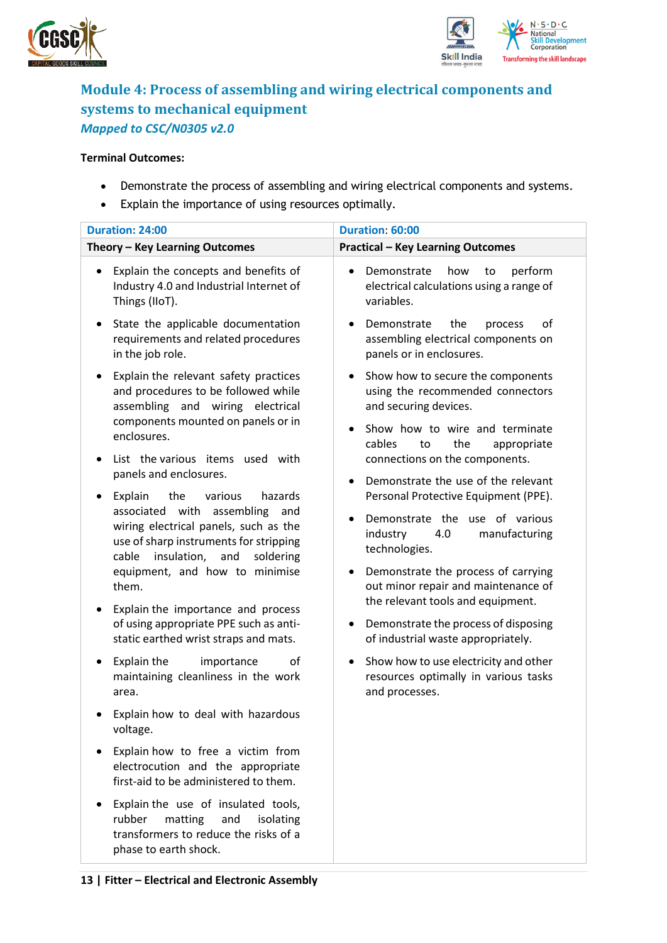



### <span id="page-12-0"></span>**Module 4: Process of assembling and wiring electrical components and systems to mechanical equipment** *Mapped to CSC/N0305 v2.0*

#### **Terminal Outcomes:**

- Demonstrate the process of assembling and wiring electrical components and systems.
- Explain the importance of using resources optimally.

| Duration: 24:00                                                                                                                                                                                                          | Duration: 60:00                                                                                                             |  |  |  |
|--------------------------------------------------------------------------------------------------------------------------------------------------------------------------------------------------------------------------|-----------------------------------------------------------------------------------------------------------------------------|--|--|--|
| Theory - Key Learning Outcomes                                                                                                                                                                                           | <b>Practical - Key Learning Outcomes</b>                                                                                    |  |  |  |
| Explain the concepts and benefits of<br>٠<br>Industry 4.0 and Industrial Internet of<br>Things (IIoT).                                                                                                                   | Demonstrate<br>how<br>perform<br>to<br>electrical calculations using a range of<br>variables.                               |  |  |  |
| State the applicable documentation<br>requirements and related procedures<br>in the job role.                                                                                                                            | οf<br>Demonstrate<br>the<br>process<br>assembling electrical components on<br>panels or in enclosures.                      |  |  |  |
| Explain the relevant safety practices<br>and procedures to be followed while<br>assembling and wiring electrical<br>components mounted on panels or in                                                                   | Show how to secure the components<br>using the recommended connectors<br>and securing devices.                              |  |  |  |
| enclosures.<br>List the various items used with                                                                                                                                                                          | Show how to wire and terminate<br>$\bullet$<br>cables<br>the<br>appropriate<br>to<br>connections on the components.         |  |  |  |
| panels and enclosures.                                                                                                                                                                                                   | Demonstrate the use of the relevant                                                                                         |  |  |  |
| Explain<br>the<br>various<br>hazards<br>$\bullet$<br>associated with<br>assembling<br>and<br>wiring electrical panels, such as the<br>use of sharp instruments for stripping<br>cable<br>insulation,<br>and<br>soldering | Personal Protective Equipment (PPE).<br>Demonstrate the use of various<br>industry<br>4.0<br>manufacturing<br>technologies. |  |  |  |
| equipment, and how to minimise<br>them.                                                                                                                                                                                  | Demonstrate the process of carrying<br>out minor repair and maintenance of<br>the relevant tools and equipment.             |  |  |  |
| Explain the importance and process<br>٠<br>of using appropriate PPE such as anti-<br>static earthed wrist straps and mats.                                                                                               | Demonstrate the process of disposing<br>of industrial waste appropriately.                                                  |  |  |  |
| Explain the<br>οf<br>importance<br>٠<br>maintaining cleanliness in the work<br>area.                                                                                                                                     | Show how to use electricity and other<br>٠<br>resources optimally in various tasks<br>and processes.                        |  |  |  |
| Explain how to deal with hazardous<br>voltage.                                                                                                                                                                           |                                                                                                                             |  |  |  |
| Explain how to free a victim from<br>electrocution and the appropriate<br>first-aid to be administered to them.                                                                                                          |                                                                                                                             |  |  |  |
| Explain the use of insulated tools,<br>rubber<br>matting<br>and<br>isolating<br>transformers to reduce the risks of a<br>phase to earth shock.                                                                           |                                                                                                                             |  |  |  |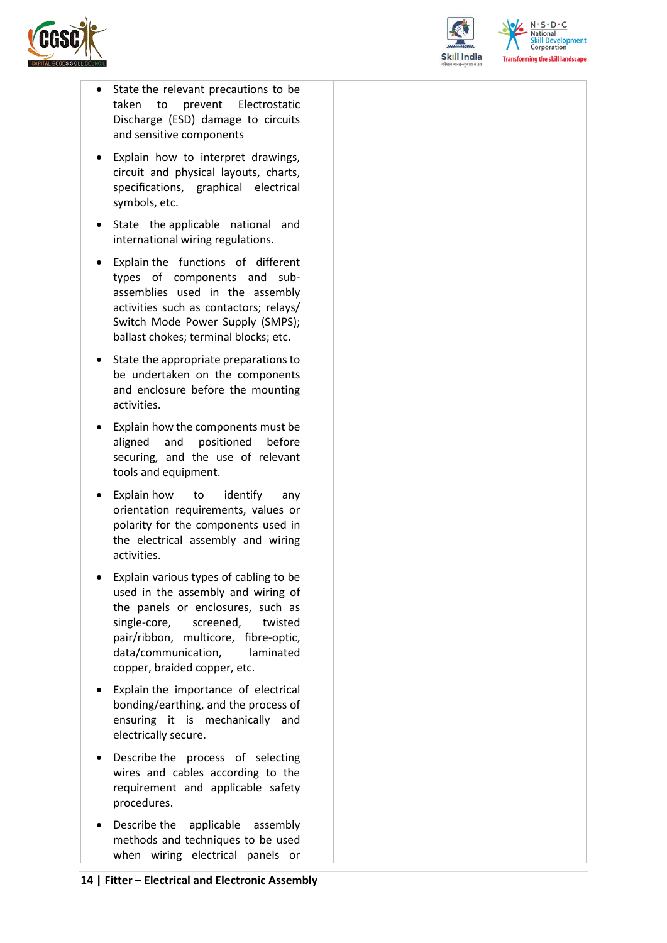



 $N.5.0.6$ National relopment Corporation **Transforming the skill landscape** 

- State the relevant precautions to be taken to prevent Electrostatic Discharge (ESD) damage to circuits and sensitive components
- Explain how to interpret drawings, circuit and physical layouts, charts, specifications, graphical electrical symbols, etc.
- State the applicable national and international wiring regulations.
- Explain the functions of different types of components and subassemblies used in the assembly activities such as contactors; relays/ Switch Mode Power Supply (SMPS); ballast chokes; terminal blocks; etc.
- State the appropriate preparations to be undertaken on the components and enclosure before the mounting activities.
- Explain how the components must be aligned and positioned before securing, and the use of relevant tools and equipment.
- Explain how to identify any orientation requirements, values or polarity for the components used in the electrical assembly and wiring activities.
- Explain various types of cabling to be used in the assembly and wiring of the panels or enclosures, such as single-core, screened, twisted pair/ribbon, multicore, fibre-optic, data/communication, laminated copper, braided copper, etc.
- Explain the importance of electrical bonding/earthing, and the process of ensuring it is mechanically and electrically secure.
- Describe the process of selecting wires and cables according to the requirement and applicable safety procedures.
- Describe the applicable assembly methods and techniques to be used when wiring electrical panels or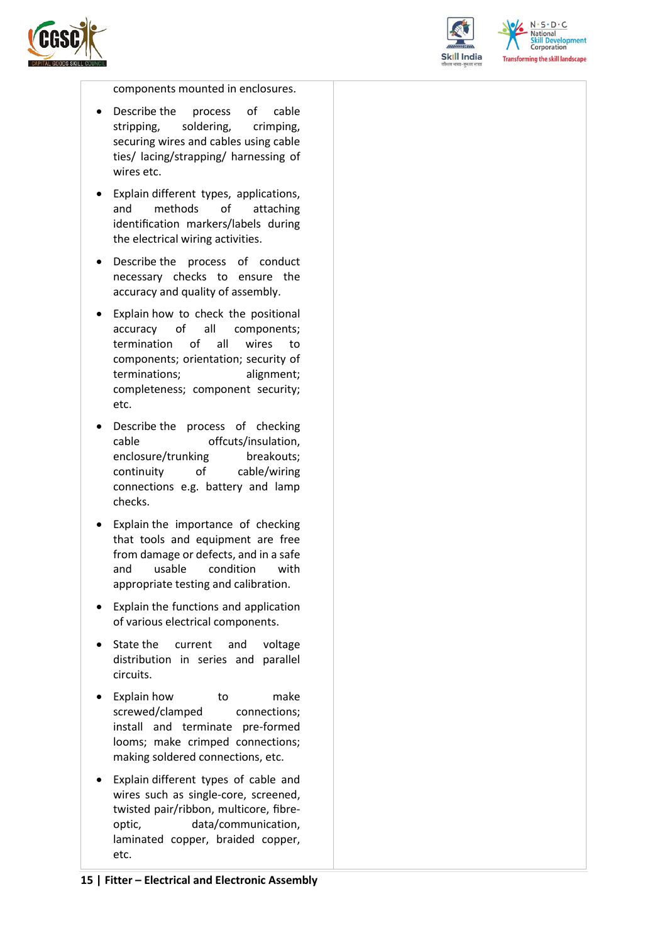



 $N.5.0.6$ National **Skill Development**<br>Corporation **Transforming the skill landscape** 

components mounted in enclosures.

- Describe the process of cable stripping, soldering, crimping, securing wires and cables using cable ties/ lacing/strapping/ harnessing of wires etc.
- Explain different types, applications, and methods of attaching identification markers/labels during the electrical wiring activities.
- Describe the process of conduct necessary checks to ensure the accuracy and quality of assembly.
- Explain how to check the positional accuracy of all components; termination of all wires to components; orientation; security of terminations; alignment; completeness; component security; etc.
- Describe the process of checking cable offcuts/insulation, enclosure/trunking breakouts; continuity of cable/wiring connections e.g. battery and lamp checks.
- Explain the importance of checking that tools and equipment are free from damage or defects, and in a safe and usable condition with appropriate testing and calibration.
- Explain the functions and application of various electrical components.
- State the current and voltage distribution in series and parallel circuits.
- Explain how to make screwed/clamped connections; install and terminate pre-formed looms; make crimped connections; making soldered connections, etc.
- Explain different types of cable and wires such as single-core, screened, twisted pair/ribbon, multicore, fibreoptic, data/communication, laminated copper, braided copper, etc.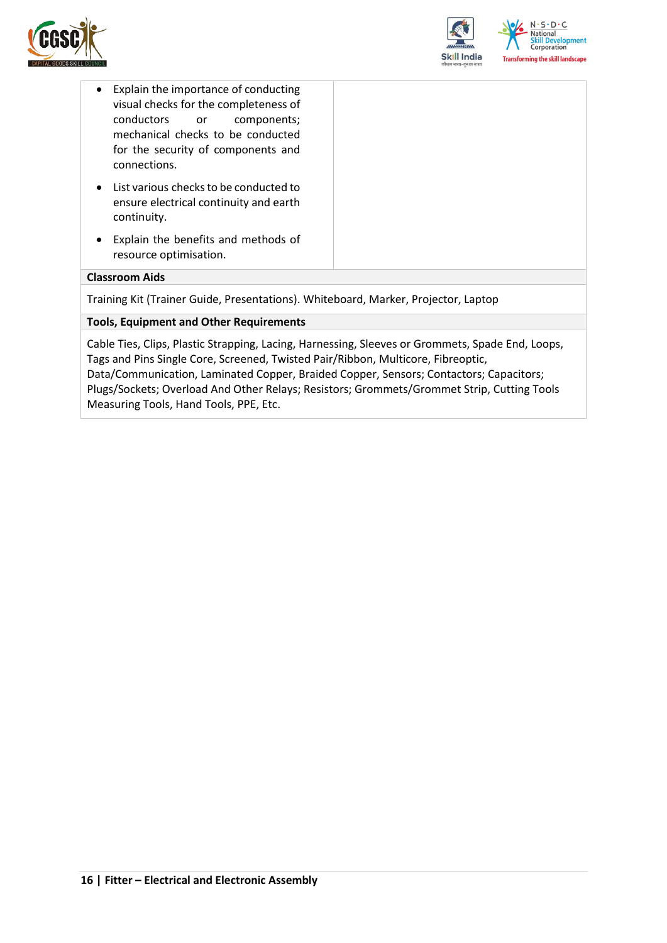



- Explain the importance of conducting visual checks for the completeness of conductors or components; mechanical checks to be conducted for the security of components and connections.
- List various checks to be conducted to ensure electrical continuity and earth continuity.
- Explain the benefits and methods of resource optimisation.

#### **Classroom Aids**

Training Kit (Trainer Guide, Presentations). Whiteboard, Marker, Projector, Laptop

#### **Tools, Equipment and Other Requirements**

Cable Ties, Clips, Plastic Strapping, Lacing, Harnessing, Sleeves or Grommets, Spade End, Loops, Tags and Pins Single Core, Screened, Twisted Pair/Ribbon, Multicore, Fibreoptic, Data/Communication, Laminated Copper, Braided Copper, Sensors; Contactors; Capacitors; Plugs/Sockets; Overload And Other Relays; Resistors; Grommets/Grommet Strip, Cutting Tools Measuring Tools, Hand Tools, PPE, Etc.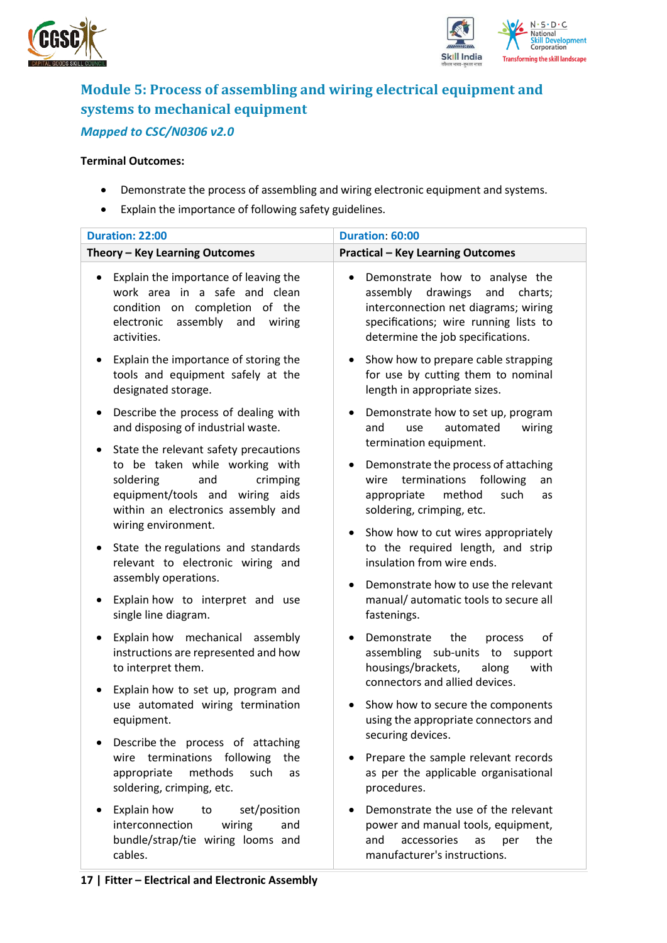



### <span id="page-16-0"></span>**Module 5: Process of assembling and wiring electrical equipment and systems to mechanical equipment** *Mapped to CSC/N0306 v2.0*

#### **Terminal Outcomes:**

- Demonstrate the process of assembling and wiring electronic equipment and systems.
- Explain the importance of following safety guidelines.

| <b>Duration: 22:00</b>                                                                                                                                                                                                                                                                                                                                                                                                                             | Duration: 60:00                                                                                                                                                                                                                                                                                                                                                                                                                                                             |  |  |  |
|----------------------------------------------------------------------------------------------------------------------------------------------------------------------------------------------------------------------------------------------------------------------------------------------------------------------------------------------------------------------------------------------------------------------------------------------------|-----------------------------------------------------------------------------------------------------------------------------------------------------------------------------------------------------------------------------------------------------------------------------------------------------------------------------------------------------------------------------------------------------------------------------------------------------------------------------|--|--|--|
| Theory - Key Learning Outcomes                                                                                                                                                                                                                                                                                                                                                                                                                     | <b>Practical - Key Learning Outcomes</b>                                                                                                                                                                                                                                                                                                                                                                                                                                    |  |  |  |
| Explain the importance of leaving the<br>$\bullet$<br>work area in a safe and clean<br>condition on completion of the<br>assembly<br>electronic<br>and<br>wiring<br>activities.                                                                                                                                                                                                                                                                    | Demonstrate how to analyse the<br>assembly<br>drawings<br>and<br>charts;<br>interconnection net diagrams; wiring<br>specifications; wire running lists to<br>determine the job specifications.                                                                                                                                                                                                                                                                              |  |  |  |
| Explain the importance of storing the<br>tools and equipment safely at the<br>designated storage.                                                                                                                                                                                                                                                                                                                                                  | Show how to prepare cable strapping<br>for use by cutting them to nominal<br>length in appropriate sizes.                                                                                                                                                                                                                                                                                                                                                                   |  |  |  |
| Describe the process of dealing with<br>and disposing of industrial waste.<br>State the relevant safety precautions<br>$\bullet$<br>to be taken while working with<br>soldering<br>and<br>crimping<br>equipment/tools and wiring<br>aids<br>within an electronics assembly and<br>wiring environment.<br>State the regulations and standards<br>relevant to electronic wiring and<br>assembly operations.<br>Explain how to interpret and use<br>٠ | Demonstrate how to set up, program<br>automated<br>wiring<br>and<br>use<br>termination equipment.<br>Demonstrate the process of attaching<br>terminations<br>following<br>wire<br>an<br>appropriate<br>method<br>such<br>as<br>soldering, crimping, etc.<br>Show how to cut wires appropriately<br>$\bullet$<br>to the required length, and strip<br>insulation from wire ends.<br>Demonstrate how to use the relevant<br>$\bullet$<br>manual/automatic tools to secure all |  |  |  |
| single line diagram.<br>Explain how mechanical assembly<br>instructions are represented and how<br>to interpret them.<br>Explain how to set up, program and<br>use automated wiring termination<br>equipment.<br>Describe the process of attaching<br>terminations following<br>wire<br>the<br>appropriate<br>methods<br>such<br>as                                                                                                                | fastenings.<br>Demonstrate<br>the<br>οf<br>process<br>assembling sub-units to support<br>housings/brackets,<br>along<br>with<br>connectors and allied devices.<br>Show how to secure the components<br>using the appropriate connectors and<br>securing devices.<br>Prepare the sample relevant records<br>as per the applicable organisational                                                                                                                             |  |  |  |
| soldering, crimping, etc.<br>Explain how<br>set/position<br>to<br>interconnection<br>wiring<br>and<br>bundle/strap/tie wiring looms and<br>cables.                                                                                                                                                                                                                                                                                                 | procedures.<br>Demonstrate the use of the relevant<br>power and manual tools, equipment,<br>accessories<br>and<br>the<br>as<br>per<br>manufacturer's instructions.                                                                                                                                                                                                                                                                                                          |  |  |  |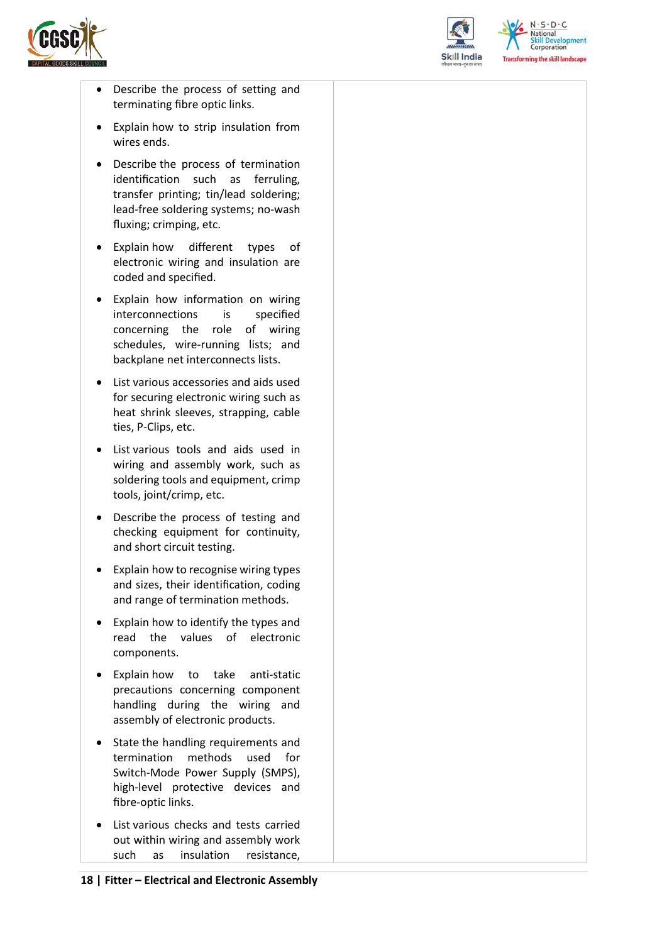



 $N.5.0.6$ **Skill Development**<br>Corporation **Transforming the skill landscape** 

- Describe the process of setting and terminating fibre optic links.
- Explain how to strip insulation from wires ends.
- Describe the process of termination identification such as ferruling, transfer printing; tin/lead soldering; lead-free soldering systems; no-wash fluxing; crimping, etc.
- Explain how different types of electronic wiring and insulation are coded and specified.
- Explain how information on wiring interconnections is specified concerning the role of wiring schedules, wire-running lists; and backplane net interconnects lists.
- List various accessories and aids used for securing electronic wiring such as heat shrink sleeves, strapping, cable ties, P-Clips, etc.
- List various tools and aids used in wiring and assembly work, such as soldering tools and equipment, crimp tools, joint/crimp, etc.
- Describe the process of testing and checking equipment for continuity, and short circuit testing.
- Explain how to recognise wiring types and sizes, their identification, coding and range of termination methods.
- Explain how to identify the types and read the values of electronic components.
- Explain how to take anti-static precautions concerning component handling during the wiring and assembly of electronic products.
- State the handling requirements and termination methods used for Switch-Mode Power Supply (SMPS), high-level protective devices and fibre-optic links.
- List various checks and tests carried out within wiring and assembly work such as insulation resistance,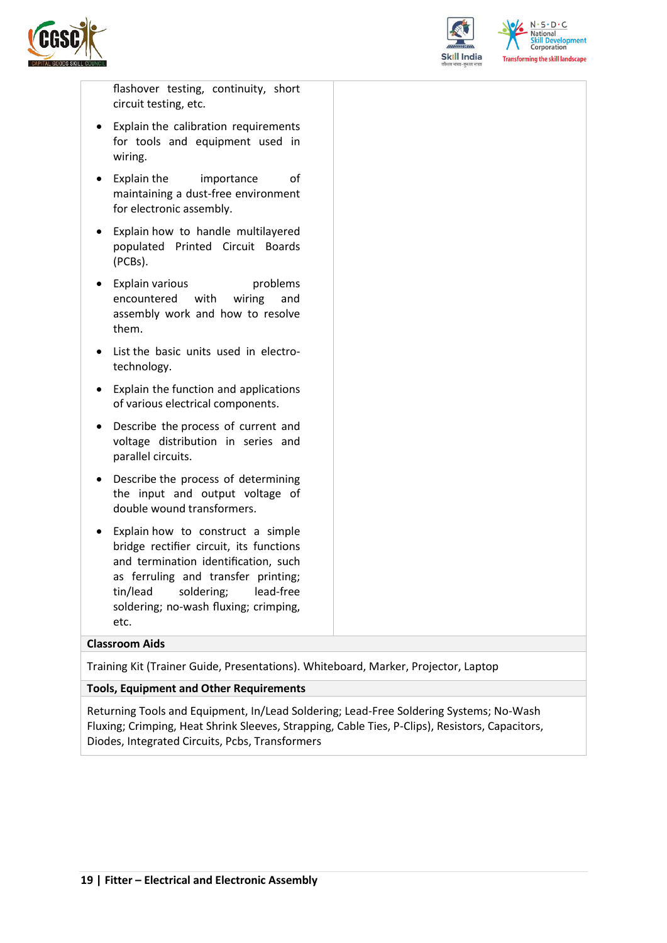



flashover testing, continuity, short circuit testing, etc.

- Explain the calibration requirements for tools and equipment used in wiring.
- Explain the importance of maintaining a dust-free environment for electronic assembly.
- Explain how to handle multilayered populated Printed Circuit Boards (PCBs).
- Explain various problems encountered with wiring and assembly work and how to resolve them.
- List the basic units used in electrotechnology.
- Explain the function and applications of various electrical components.
- Describe the process of current and voltage distribution in series and parallel circuits.
- Describe the process of determining the input and output voltage of double wound transformers.
- Explain how to construct a simple bridge rectifier circuit, its functions and termination identification, such as ferruling and transfer printing; tin/lead soldering; lead-free soldering; no-wash fluxing; crimping, etc.

#### **Classroom Aids**

Training Kit (Trainer Guide, Presentations). Whiteboard, Marker, Projector, Laptop

#### **Tools, Equipment and Other Requirements**

Returning Tools and Equipment, In/Lead Soldering; Lead-Free Soldering Systems; No-Wash Fluxing; Crimping, Heat Shrink Sleeves, Strapping, Cable Ties, P-Clips), Resistors, Capacitors, Diodes, Integrated Circuits, Pcbs, Transformers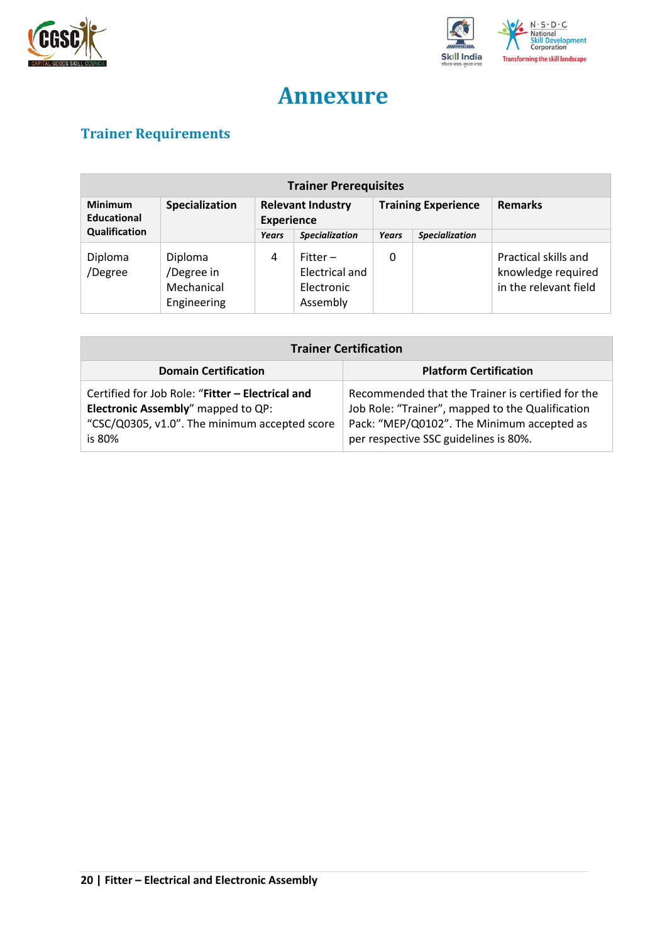



## **Annexure**

## <span id="page-19-1"></span><span id="page-19-0"></span>**Trainer Requirements**

| <b>Trainer Prerequisites</b>                           |                                                    |                                               |                                                        |                            |                       |                                                                     |  |
|--------------------------------------------------------|----------------------------------------------------|-----------------------------------------------|--------------------------------------------------------|----------------------------|-----------------------|---------------------------------------------------------------------|--|
| <b>Minimum</b><br>Specialization<br><b>Educational</b> |                                                    | <b>Relevant Industry</b><br><b>Experience</b> |                                                        | <b>Training Experience</b> |                       | <b>Remarks</b>                                                      |  |
| Qualification                                          |                                                    | Years                                         | <b>Specialization</b>                                  | Years                      | <b>Specialization</b> |                                                                     |  |
| Diploma<br>/Degree                                     | Diploma<br>/Degree in<br>Mechanical<br>Engineering | 4                                             | $Fitter -$<br>Electrical and<br>Electronic<br>Assembly | 0                          |                       | Practical skills and<br>knowledge required<br>in the relevant field |  |

| <b>Trainer Certification</b>                                                                                                                              |                                                                                                                                                                                              |  |  |  |  |
|-----------------------------------------------------------------------------------------------------------------------------------------------------------|----------------------------------------------------------------------------------------------------------------------------------------------------------------------------------------------|--|--|--|--|
| <b>Platform Certification</b><br><b>Domain Certification</b>                                                                                              |                                                                                                                                                                                              |  |  |  |  |
| Certified for Job Role: "Fitter - Electrical and<br><b>Electronic Assembly</b> " mapped to QP:<br>"CSC/Q0305, v1.0". The minimum accepted score<br>is 80% | Recommended that the Trainer is certified for the<br>Job Role: "Trainer", mapped to the Qualification<br>Pack: "MEP/Q0102". The Minimum accepted as<br>per respective SSC guidelines is 80%. |  |  |  |  |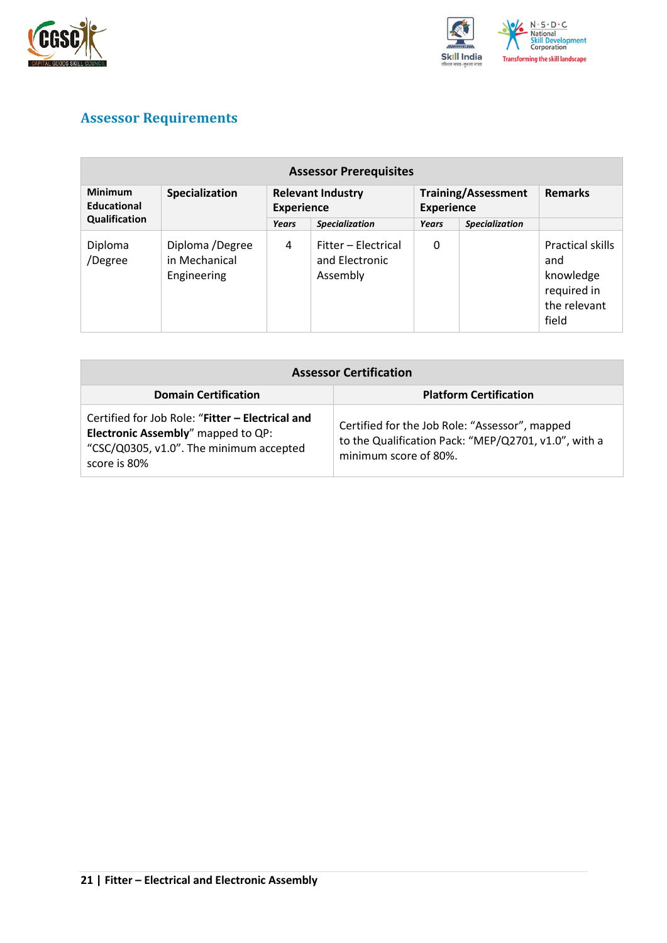



## <span id="page-20-0"></span>**Assessor Requirements**

| <b>Assessor Prerequisites</b>                   |                                                 |                                               |                                                   |                                                 |                       |                                                                              |  |
|-------------------------------------------------|-------------------------------------------------|-----------------------------------------------|---------------------------------------------------|-------------------------------------------------|-----------------------|------------------------------------------------------------------------------|--|
| <b>Minimum</b><br>Specialization<br>Educational |                                                 | <b>Relevant Industry</b><br><b>Experience</b> |                                                   | <b>Training/Assessment</b><br><b>Experience</b> |                       | <b>Remarks</b>                                                               |  |
| Qualification                                   |                                                 | Years                                         | <b>Specialization</b>                             | Years                                           | <b>Specialization</b> |                                                                              |  |
| Diploma<br>/Degree                              | Diploma /Degree<br>in Mechanical<br>Engineering | 4                                             | Fitter - Electrical<br>and Electronic<br>Assembly | 0                                               |                       | Practical skills<br>and<br>knowledge<br>required in<br>the relevant<br>field |  |

| <b>Assessor Certification</b>                                                                                                                            |                                                                                                                                 |  |
|----------------------------------------------------------------------------------------------------------------------------------------------------------|---------------------------------------------------------------------------------------------------------------------------------|--|
| <b>Domain Certification</b>                                                                                                                              | <b>Platform Certification</b>                                                                                                   |  |
| Certified for Job Role: "Fitter - Electrical and<br><b>Electronic Assembly"</b> mapped to QP:<br>"CSC/Q0305, v1.0". The minimum accepted<br>score is 80% | Certified for the Job Role: "Assessor", mapped<br>to the Qualification Pack: "MEP/Q2701, v1.0", with a<br>minimum score of 80%. |  |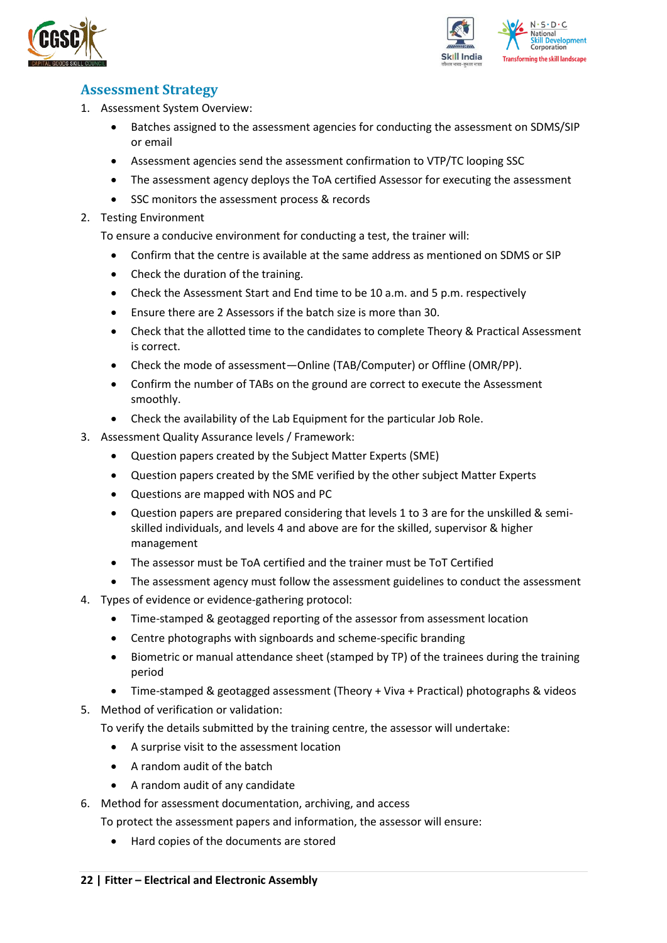



### <span id="page-21-0"></span>**Assessment Strategy**

- 1. Assessment System Overview:
	- Batches assigned to the assessment agencies for conducting the assessment on SDMS/SIP or email
	- Assessment agencies send the assessment confirmation to VTP/TC looping SSC
	- The assessment agency deploys the ToA certified Assessor for executing the assessment
	- SSC monitors the assessment process & records
- 2. Testing Environment

To ensure a conducive environment for conducting a test, the trainer will:

- Confirm that the centre is available at the same address as mentioned on SDMS or SIP
- Check the duration of the training.
- Check the Assessment Start and End time to be 10 a.m. and 5 p.m. respectively
- Ensure there are 2 Assessors if the batch size is more than 30.
- Check that the allotted time to the candidates to complete Theory & Practical Assessment is correct.
- Check the mode of assessment—Online (TAB/Computer) or Offline (OMR/PP).
- Confirm the number of TABs on the ground are correct to execute the Assessment smoothly.
- Check the availability of the Lab Equipment for the particular Job Role.
- 3. Assessment Quality Assurance levels / Framework:
	- Question papers created by the Subject Matter Experts (SME)
	- Question papers created by the SME verified by the other subject Matter Experts
	- Questions are mapped with NOS and PC
	- Question papers are prepared considering that levels 1 to 3 are for the unskilled & semiskilled individuals, and levels 4 and above are for the skilled, supervisor & higher management
	- The assessor must be ToA certified and the trainer must be ToT Certified
	- The assessment agency must follow the assessment guidelines to conduct the assessment
- 4. Types of evidence or evidence-gathering protocol:
	- Time-stamped & geotagged reporting of the assessor from assessment location
	- Centre photographs with signboards and scheme-specific branding
	- Biometric or manual attendance sheet (stamped by TP) of the trainees during the training period
	- Time-stamped & geotagged assessment (Theory + Viva + Practical) photographs & videos
- 5. Method of verification or validation:

To verify the details submitted by the training centre, the assessor will undertake:

- A surprise visit to the assessment location
- A random audit of the batch
- A random audit of any candidate
- 6. Method for assessment documentation, archiving, and access
	- To protect the assessment papers and information, the assessor will ensure:
		- Hard copies of the documents are stored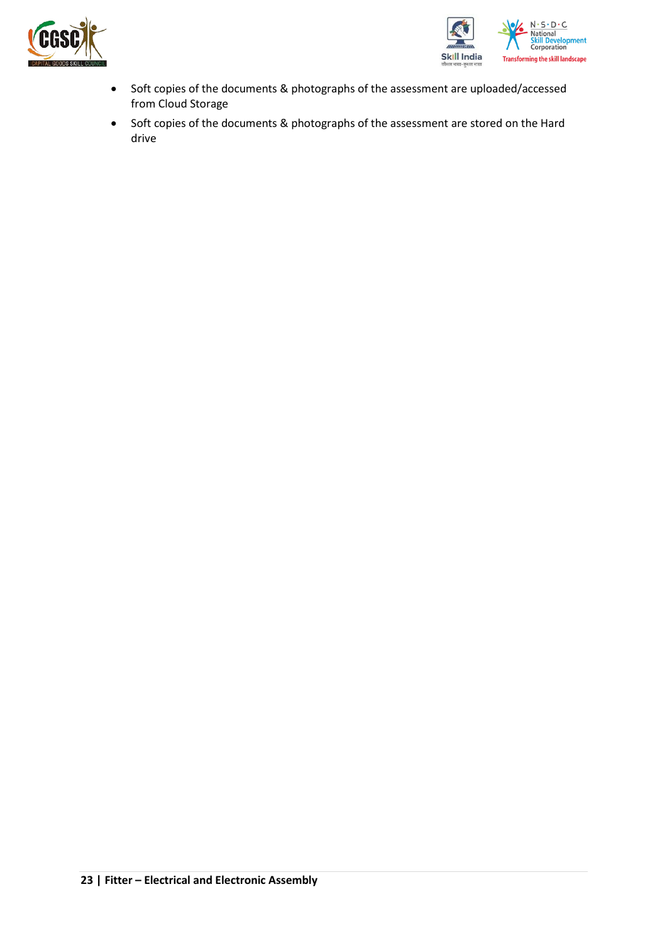



- Soft copies of the documents & photographs of the assessment are uploaded/accessed from Cloud Storage
- Soft copies of the documents & photographs of the assessment are stored on the Hard drive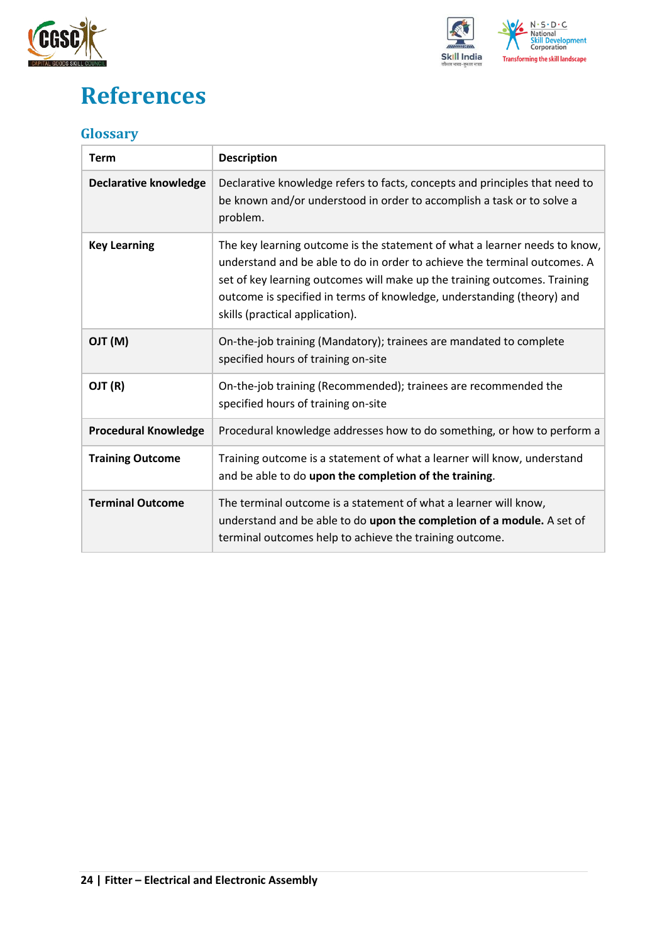



## <span id="page-23-0"></span>**References**

### <span id="page-23-1"></span>**Glossary**

| <b>Term</b>                  | <b>Description</b>                                                                                                                                                                                                                                                                                                                                |
|------------------------------|---------------------------------------------------------------------------------------------------------------------------------------------------------------------------------------------------------------------------------------------------------------------------------------------------------------------------------------------------|
| <b>Declarative knowledge</b> | Declarative knowledge refers to facts, concepts and principles that need to<br>be known and/or understood in order to accomplish a task or to solve a<br>problem.                                                                                                                                                                                 |
| <b>Key Learning</b>          | The key learning outcome is the statement of what a learner needs to know,<br>understand and be able to do in order to achieve the terminal outcomes. A<br>set of key learning outcomes will make up the training outcomes. Training<br>outcome is specified in terms of knowledge, understanding (theory) and<br>skills (practical application). |
| (M) TLO                      | On-the-job training (Mandatory); trainees are mandated to complete<br>specified hours of training on-site                                                                                                                                                                                                                                         |
| OJT (R)                      | On-the-job training (Recommended); trainees are recommended the<br>specified hours of training on-site                                                                                                                                                                                                                                            |
| <b>Procedural Knowledge</b>  | Procedural knowledge addresses how to do something, or how to perform a                                                                                                                                                                                                                                                                           |
| <b>Training Outcome</b>      | Training outcome is a statement of what a learner will know, understand<br>and be able to do upon the completion of the training.                                                                                                                                                                                                                 |
| <b>Terminal Outcome</b>      | The terminal outcome is a statement of what a learner will know,<br>understand and be able to do upon the completion of a module. A set of<br>terminal outcomes help to achieve the training outcome.                                                                                                                                             |